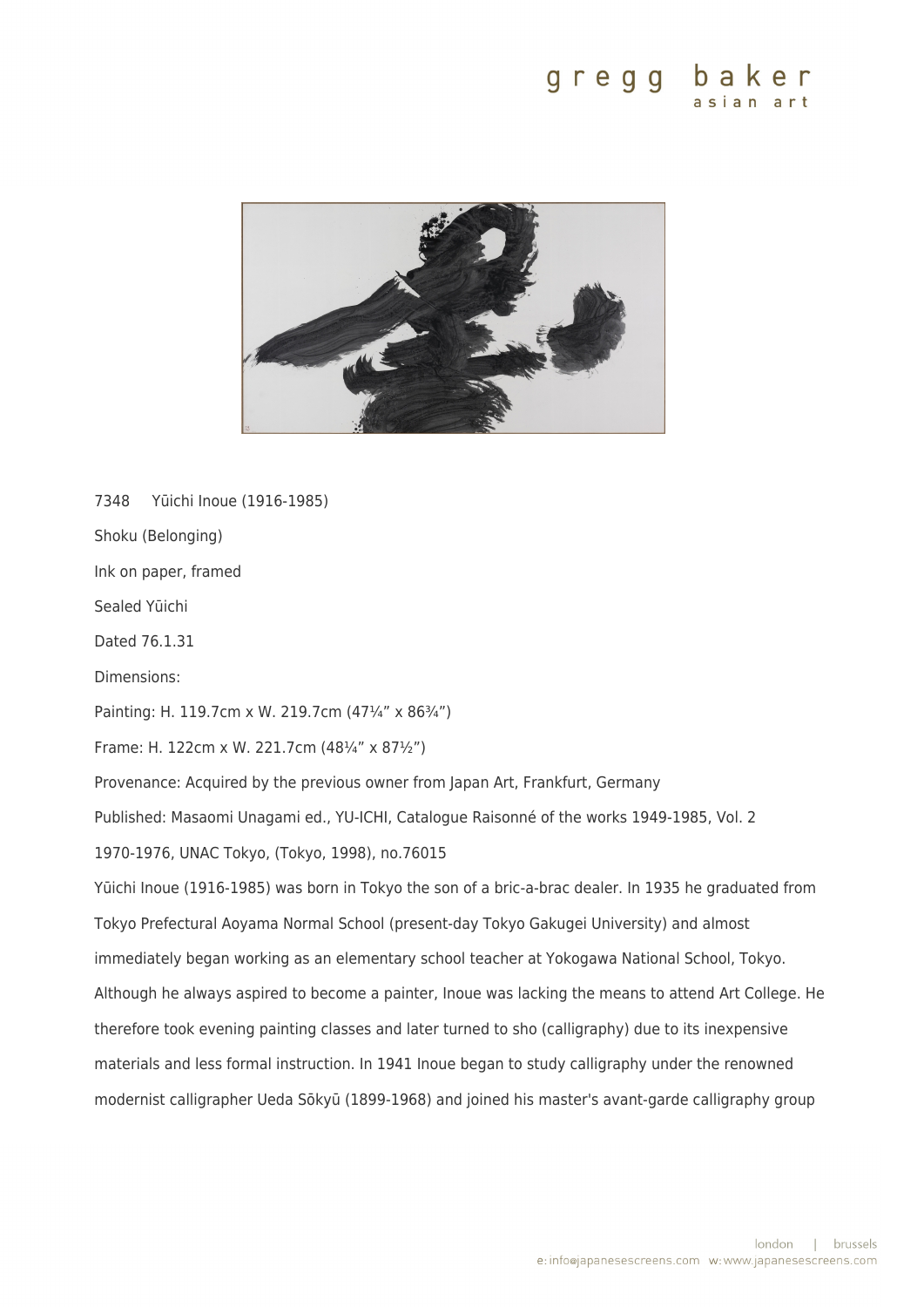

7348 Yūichi Inoue (1916-1985) Shoku (Belonging) Ink on paper, framed Sealed Yūichi Dated 76.1.31 Dimensions: Painting: H. 119.7cm x W. 219.7cm (47¼" x 86¾") Frame: H. 122cm x W. 221.7cm (48¼" x 87½") Provenance: Acquired by the previous owner from Japan Art, Frankfurt, Germany Published: Masaomi Unagami ed., YU-ICHI, Catalogue Raisonné of the works 1949-1985, Vol. 2 1970-1976, UNAC Tokyo, (Tokyo, 1998), no.76015 Yūichi Inoue (1916-1985) was born in Tokyo the son of a bric-a-brac dealer. In 1935 he graduated from Tokyo Prefectural Aoyama Normal School (present-day Tokyo Gakugei University) and almost immediately began working as an elementary school teacher at Yokogawa National School, Tokyo. Although he always aspired to become a painter, Inoue was lacking the means to attend Art College. He therefore took evening painting classes and later turned to sho (calligraphy) due to its inexpensive materials and less formal instruction. In 1941 Inoue began to study calligraphy under the renowned modernist calligrapher Ueda Sōkyū (1899-1968) and joined his master's avant-garde calligraphy group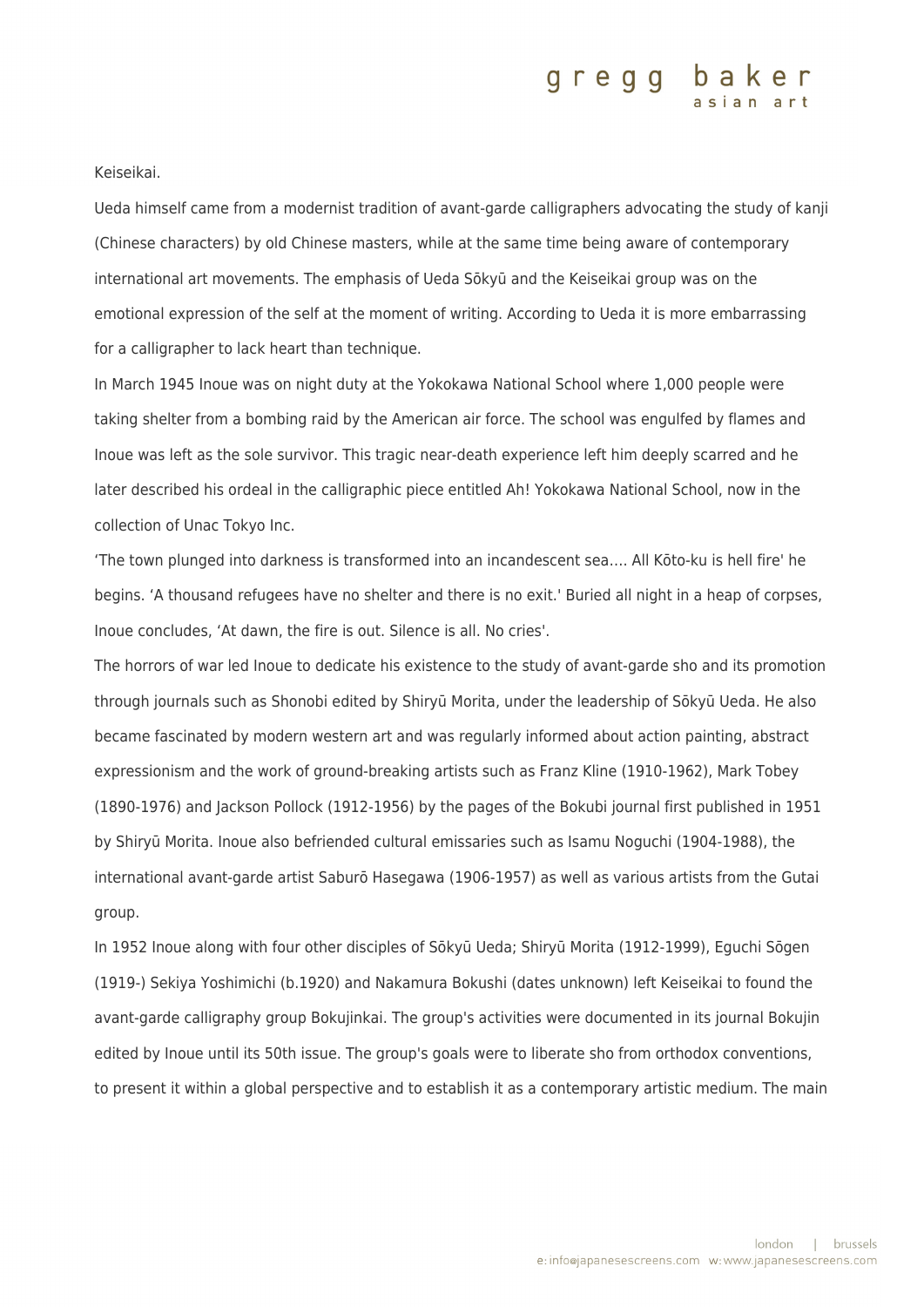### gregg baker

Keiseikai.

Ueda himself came from a modernist tradition of avant-garde calligraphers advocating the study of kanji (Chinese characters) by old Chinese masters, while at the same time being aware of contemporary international art movements. The emphasis of Ueda Sōkyū and the Keiseikai group was on the emotional expression of the self at the moment of writing. According to Ueda it is more embarrassing for a calligrapher to lack heart than technique.

In March 1945 Inoue was on night duty at the Yokokawa National School where 1,000 people were taking shelter from a bombing raid by the American air force. The school was engulfed by flames and Inoue was left as the sole survivor. This tragic near-death experience left him deeply scarred and he later described his ordeal in the calligraphic piece entitled Ah! Yokokawa National School, now in the collection of Unac Tokyo Inc.

'The town plunged into darkness is transformed into an incandescent sea…. All Kōto-ku is hell fire' he begins. 'A thousand refugees have no shelter and there is no exit.' Buried all night in a heap of corpses, Inoue concludes, 'At dawn, the fire is out. Silence is all. No cries'.

The horrors of war led Inoue to dedicate his existence to the study of avant-garde sho and its promotion through journals such as Shonobi edited by Shiryū Morita, under the leadership of Sōkyū Ueda. He also became fascinated by modern western art and was regularly informed about action painting, abstract expressionism and the work of ground-breaking artists such as Franz Kline (1910-1962), Mark Tobey (1890-1976) and Jackson Pollock (1912-1956) by the pages of the Bokubi journal first published in 1951 by Shiryū Morita. Inoue also befriended cultural emissaries such as Isamu Noguchi (1904-1988), the international avant-garde artist Saburō Hasegawa (1906-1957) as well as various artists from the Gutai group.

In 1952 Inoue along with four other disciples of Sōkyū Ueda; Shiryū Morita (1912-1999), Eguchi Sōgen (1919-) Sekiya Yoshimichi (b.1920) and Nakamura Bokushi (dates unknown) left Keiseikai to found the avant-garde calligraphy group Bokujinkai. The group's activities were documented in its journal Bokujin edited by Inoue until its 50th issue. The group's goals were to liberate sho from orthodox conventions, to present it within a global perspective and to establish it as a contemporary artistic medium. The main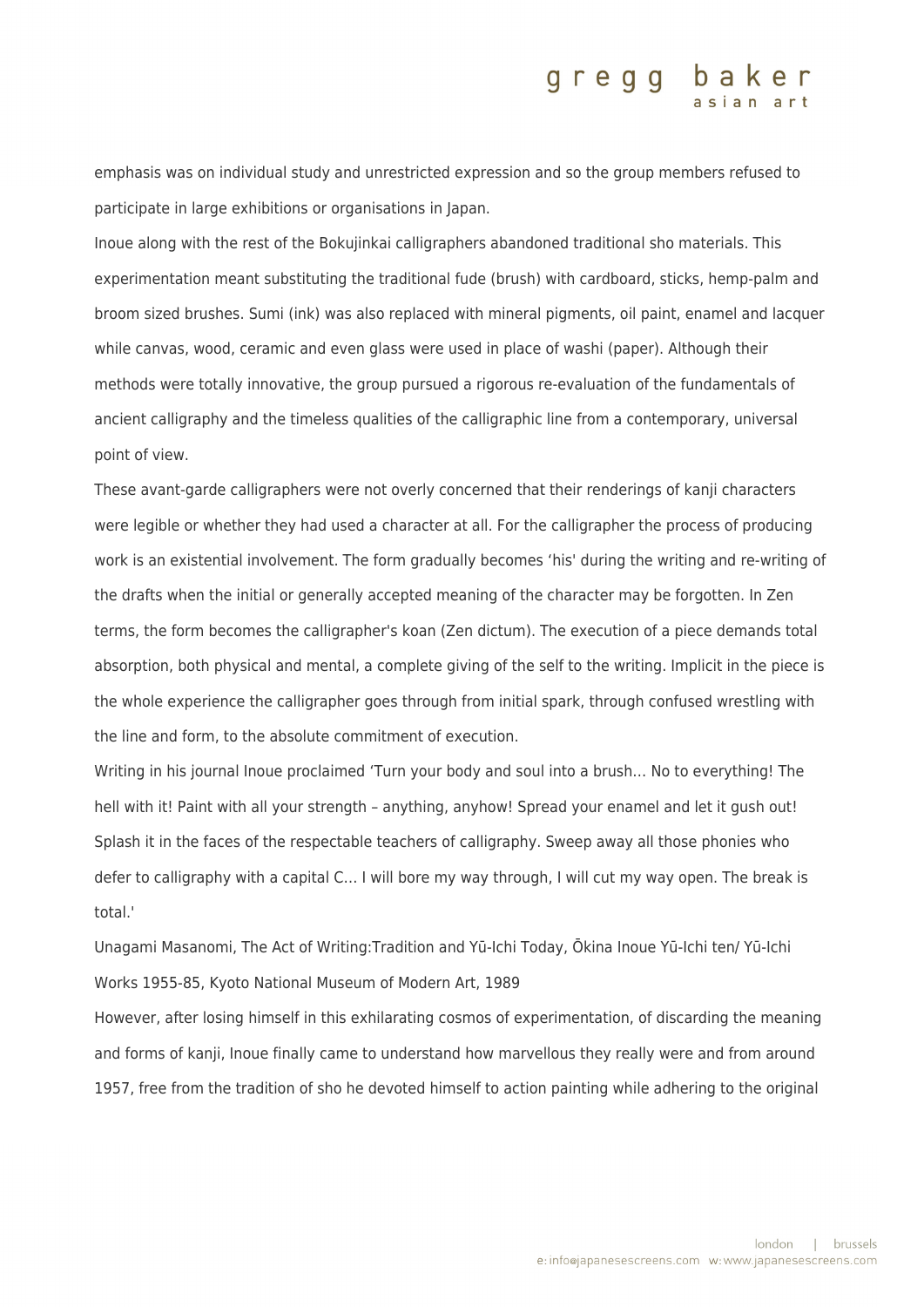#### gregg baker

emphasis was on individual study and unrestricted expression and so the group members refused to participate in large exhibitions or organisations in Japan.

Inoue along with the rest of the Bokujinkai calligraphers abandoned traditional sho materials. This experimentation meant substituting the traditional fude (brush) with cardboard, sticks, hemp-palm and broom sized brushes. Sumi (ink) was also replaced with mineral pigments, oil paint, enamel and lacquer while canvas, wood, ceramic and even glass were used in place of washi (paper). Although their methods were totally innovative, the group pursued a rigorous re-evaluation of the fundamentals of ancient calligraphy and the timeless qualities of the calligraphic line from a contemporary, universal point of view.

These avant-garde calligraphers were not overly concerned that their renderings of kanji characters were legible or whether they had used a character at all. For the calligrapher the process of producing work is an existential involvement. The form gradually becomes 'his' during the writing and re-writing of the drafts when the initial or generally accepted meaning of the character may be forgotten. In Zen terms, the form becomes the calligrapher's koan (Zen dictum). The execution of a piece demands total absorption, both physical and mental, a complete giving of the self to the writing. Implicit in the piece is the whole experience the calligrapher goes through from initial spark, through confused wrestling with the line and form, to the absolute commitment of execution.

Writing in his journal Inoue proclaimed 'Turn your body and soul into a brush… No to everything! The hell with it! Paint with all your strength - anything, anyhow! Spread your enamel and let it gush out! Splash it in the faces of the respectable teachers of calligraphy. Sweep away all those phonies who defer to calligraphy with a capital C… I will bore my way through, I will cut my way open. The break is total.'

Unagami Masanomi, The Act of Writing:Tradition and Yū-Ichi Today, Ōkina Inoue Yū-Ichi ten/ Yū-Ichi Works 1955-85, Kyoto National Museum of Modern Art, 1989

However, after losing himself in this exhilarating cosmos of experimentation, of discarding the meaning and forms of kanji, Inoue finally came to understand how marvellous they really were and from around 1957, free from the tradition of sho he devoted himself to action painting while adhering to the original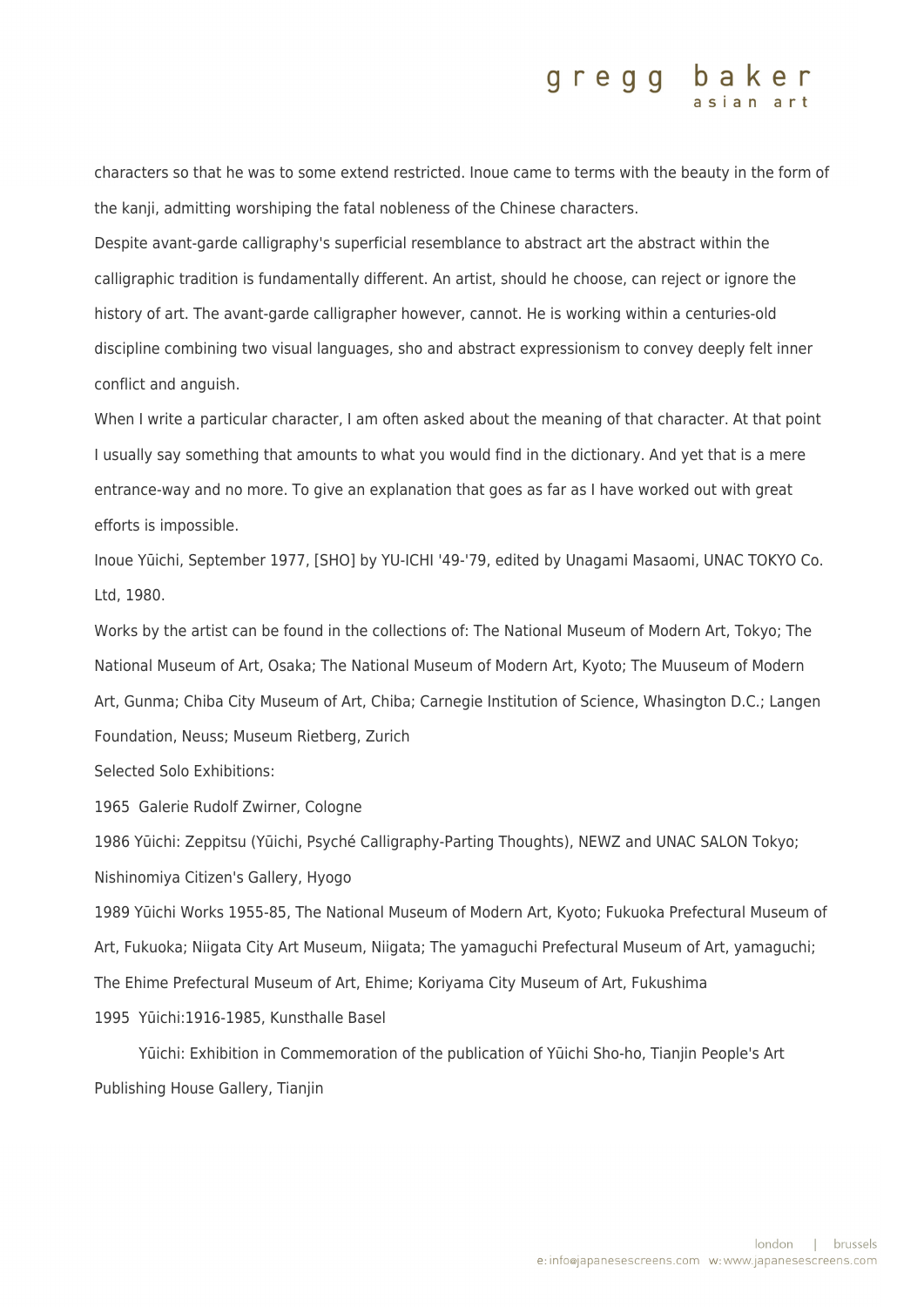### gregg baker

characters so that he was to some extend restricted. Inoue came to terms with the beauty in the form of the kanji, admitting worshiping the fatal nobleness of the Chinese characters.

Despite avant-garde calligraphy's superficial resemblance to abstract art the abstract within the calligraphic tradition is fundamentally different. An artist, should he choose, can reject or ignore the history of art. The avant-garde calligrapher however, cannot. He is working within a centuries-old discipline combining two visual languages, sho and abstract expressionism to convey deeply felt inner conflict and anguish.

When I write a particular character, I am often asked about the meaning of that character. At that point I usually say something that amounts to what you would find in the dictionary. And yet that is a mere entrance-way and no more. To give an explanation that goes as far as I have worked out with great efforts is impossible.

Inoue Yūichi, September 1977, [SHO] by YU-ICHI '49-'79, edited by Unagami Masaomi, UNAC TOKYO Co. Ltd, 1980.

Works by the artist can be found in the collections of: The National Museum of Modern Art, Tokyo; The National Museum of Art, Osaka; The National Museum of Modern Art, Kyoto; The Muuseum of Modern Art, Gunma; Chiba City Museum of Art, Chiba; Carnegie Institution of Science, Whasington D.C.; Langen Foundation, Neuss; Museum Rietberg, Zurich

Selected Solo Exhibitions:

1965 Galerie Rudolf Zwirner, Cologne

1986 Yūichi: Zeppitsu (Yūichi, Psyché Calligraphy-Parting Thoughts), NEWZ and UNAC SALON Tokyo; Nishinomiya Citizen's Gallery, Hyogo

1989 Yūichi Works 1955-85, The National Museum of Modern Art, Kyoto; Fukuoka Prefectural Museum of Art, Fukuoka; Niigata City Art Museum, Niigata; The yamaguchi Prefectural Museum of Art, yamaguchi; The Ehime Prefectural Museum of Art, Ehime; Koriyama City Museum of Art, Fukushima 1995 Yūichi:1916-1985, Kunsthalle Basel

 Yūichi: Exhibition in Commemoration of the publication of Yūichi Sho-ho, Tianjin People's Art Publishing House Gallery, Tianjin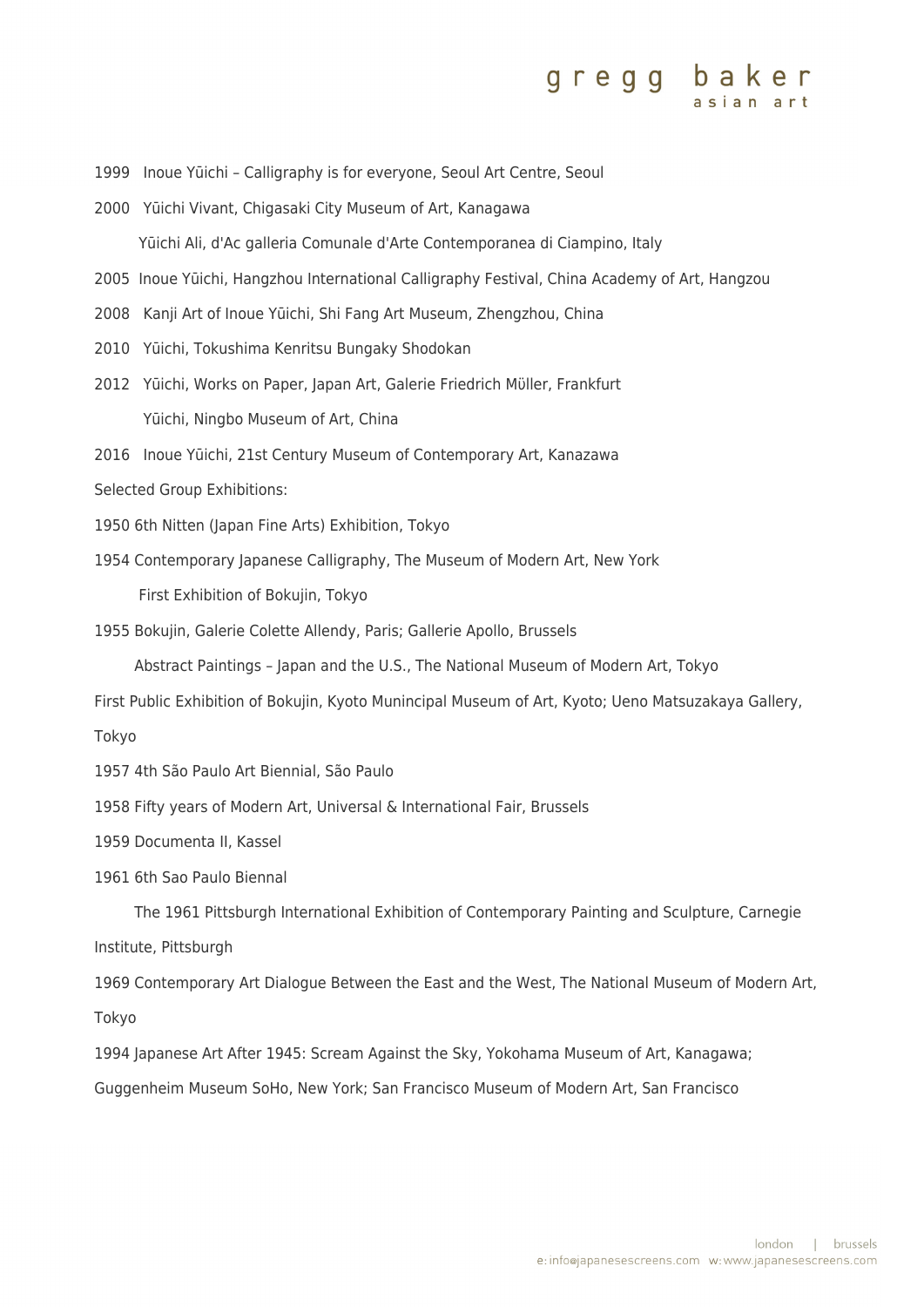## gregg baker

- 1999 Inoue Yūichi Calligraphy is for everyone, Seoul Art Centre, Seoul
- 2000 Yūichi Vivant, Chigasaki City Museum of Art, Kanagawa Yūichi Ali, d'Ac galleria Comunale d'Arte Contemporanea di Ciampino, Italy
- 2005 Inoue Yūichi, Hangzhou International Calligraphy Festival, China Academy of Art, Hangzou
- 2008 Kanji Art of Inoue Yūichi, Shi Fang Art Museum, Zhengzhou, China
- 2010 Yūichi, Tokushima Kenritsu Bungaky Shodokan
- 2012 Yūichi, Works on Paper, Japan Art, Galerie Friedrich Mϋller, Frankfurt Yūichi, Ningbo Museum of Art, China
- 2016 Inoue Yūichi, 21st Century Museum of Contemporary Art, Kanazawa
- Selected Group Exhibitions:
- 1950 6th Nitten (Japan Fine Arts) Exhibition, Tokyo
- 1954 Contemporary Japanese Calligraphy, The Museum of Modern Art, New York

First Exhibition of Bokujin, Tokyo

1955 Bokujin, Galerie Colette Allendy, Paris; Gallerie Apollo, Brussels

Abstract Paintings – Japan and the U.S., The National Museum of Modern Art, Tokyo

First Public Exhibition of Bokujin, Kyoto Munincipal Museum of Art, Kyoto; Ueno Matsuzakaya Gallery,

Tokyo

1957 4th São Paulo Art Biennial, São Paulo

1958 Fifty years of Modern Art, Universal & International Fair, Brussels

1959 Documenta II, Kassel

1961 6th Sao Paulo Biennal

 The 1961 Pittsburgh International Exhibition of Contemporary Painting and Sculpture, Carnegie Institute, Pittsburgh

1969 Contemporary Art Dialogue Between the East and the West, The National Museum of Modern Art, Tokyo

1994 Japanese Art After 1945: Scream Against the Sky, Yokohama Museum of Art, Kanagawa;

Guggenheim Museum SoHo, New York; San Francisco Museum of Modern Art, San Francisco